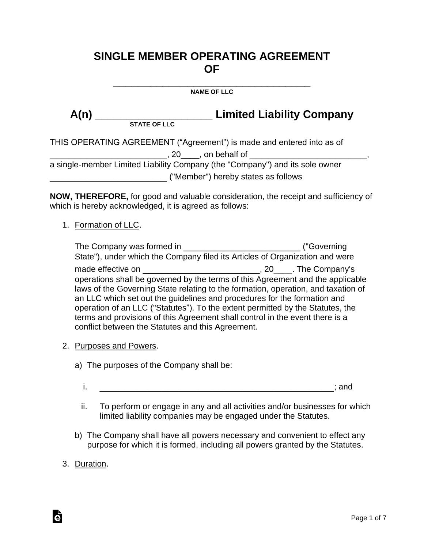# **SINGLE MEMBER OPERATING AGREEMENT OF**

**\_\_\_\_\_\_\_\_\_\_\_\_\_\_\_\_\_\_\_\_\_\_\_\_\_\_\_\_\_\_\_\_ NAME OF LLC**

**A(n) \_\_\_\_\_\_\_\_\_\_\_\_\_\_\_\_\_\_\_ Limited Liability Company**

A(n) <u>STATE OF LLC</u>

THIS OPERATING AGREEMENT ("Agreement") is made and entered into as of

\_\_\_\_\_\_\_\_\_\_\_\_\_\_\_\_\_\_\_, 20\_\_\_\_, on behalf of \_\_\_\_\_\_\_\_\_\_\_\_\_\_\_\_\_\_\_,

a single-member Limited Liability Company (the "Company") and its sole owner \_\_\_\_\_\_\_\_\_\_\_\_\_\_\_\_\_\_\_ ("Member") hereby states as follows

**NOW, THEREFORE,** for good and valuable consideration, the receipt and sufficiency of which is hereby acknowledged, it is agreed as follows:

1. Formation of LLC.

| The Company was formed in                                                         | ("Governing")      |
|-----------------------------------------------------------------------------------|--------------------|
| State"), under which the Company filed its Articles of Organization and were      |                    |
| made effective on                                                                 | . 20 Fhe Company's |
| operations shall be governed by the terms of this Agreement and the applicable    |                    |
| laws of the Governing State relating to the formation, operation, and taxation of |                    |
| an LLC which set out the guidelines and procedures for the formation and          |                    |
| operation of an LLC ("Statutes"). To the extent permitted by the Statutes, the    |                    |
| terms and provisions of this Agreement shall control in the event there is a      |                    |
| conflict between the Statutes and this Agreement.                                 |                    |

- 2. Purposes and Powers.
	- a) The purposes of the Company shall be:
		- $i.$
		- ii. To perform or engage in any and all activities and/or businesses for which limited liability companies may be engaged under the Statutes.
	- b) The Company shall have all powers necessary and convenient to effect any purpose for which it is formed, including all powers granted by the Statutes.
- 3. Duration.

à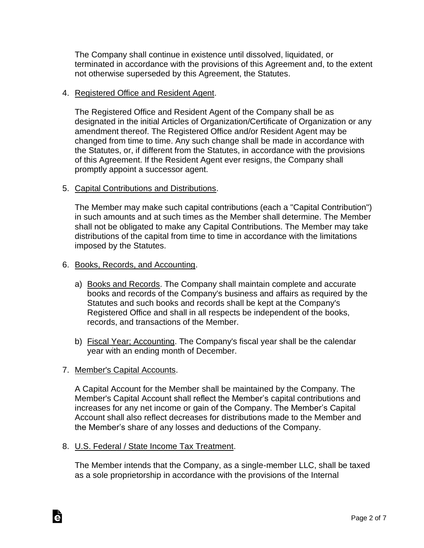The Company shall continue in existence until dissolved, liquidated, or terminated in accordance with the provisions of this Agreement and, to the extent not otherwise superseded by this Agreement, the Statutes.

### 4. Registered Office and Resident Agent.

The Registered Office and Resident Agent of the Company shall be as designated in the initial Articles of Organization/Certificate of Organization or any amendment thereof. The Registered Office and/or Resident Agent may be changed from time to time. Any such change shall be made in accordance with the Statutes, or, if different from the Statutes, in accordance with the provisions of this Agreement. If the Resident Agent ever resigns, the Company shall promptly appoint a successor agent.

# 5. Capital Contributions and Distributions.

The Member may make such capital contributions (each a "Capital Contribution") in such amounts and at such times as the Member shall determine. The Member shall not be obligated to make any Capital Contributions. The Member may take distributions of the capital from time to time in accordance with the limitations imposed by the Statutes.

### 6. Books, Records, and Accounting.

- a) Books and Records. The Company shall maintain complete and accurate books and records of the Company's business and affairs as required by the Statutes and such books and records shall be kept at the Company's Registered Office and shall in all respects be independent of the books, records, and transactions of the Member.
- b) Fiscal Year; Accounting. The Company's fiscal year shall be the calendar year with an ending month of December.

# 7. Member's Capital Accounts.

à

A Capital Account for the Member shall be maintained by the Company. The Member's Capital Account shall reflect the Member's capital contributions and increases for any net income or gain of the Company. The Member's Capital Account shall also reflect decreases for distributions made to the Member and the Member's share of any losses and deductions of the Company.

#### 8. U.S. Federal / State Income Tax Treatment.

The Member intends that the Company, as a single-member LLC, shall be taxed as a sole proprietorship in accordance with the provisions of the Internal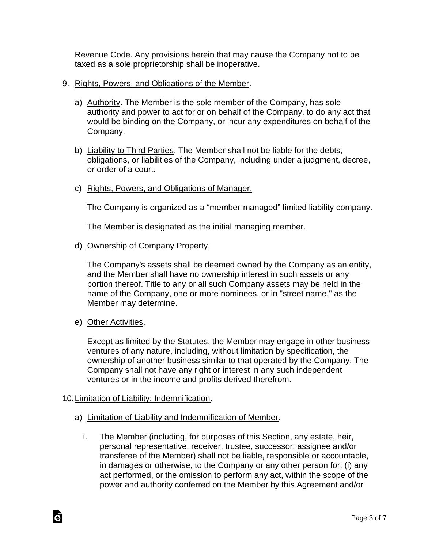Revenue Code. Any provisions herein that may cause the Company not to be taxed as a sole proprietorship shall be inoperative.

- 9. Rights, Powers, and Obligations of the Member.
	- a) Authority. The Member is the sole member of the Company, has sole authority and power to act for or on behalf of the Company, to do any act that would be binding on the Company, or incur any expenditures on behalf of the Company.
	- b) Liability to Third Parties. The Member shall not be liable for the debts, obligations, or liabilities of the Company, including under a judgment, decree, or order of a court.
	- c) Rights, Powers, and Obligations of Manager.

The Company is organized as a "member-managed" limited liability company.

The Member is designated as the initial managing member.

d) Ownership of Company Property.

The Company's assets shall be deemed owned by the Company as an entity, and the Member shall have no ownership interest in such assets or any portion thereof. Title to any or all such Company assets may be held in the name of the Company, one or more nominees, or in "street name," as the Member may determine.

e) Other Activities.

Except as limited by the Statutes, the Member may engage in other business ventures of any nature, including, without limitation by specification, the ownership of another business similar to that operated by the Company. The Company shall not have any right or interest in any such independent ventures or in the income and profits derived therefrom.

# 10.Limitation of Liability; Indemnification.

- a) Limitation of Liability and Indemnification of Member.
	- i. The Member (including, for purposes of this Section, any estate, heir, personal representative, receiver, trustee, successor, assignee and/or transferee of the Member) shall not be liable, responsible or accountable, in damages or otherwise, to the Company or any other person for: (i) any act performed, or the omission to perform any act, within the scope of the power and authority conferred on the Member by this Agreement and/or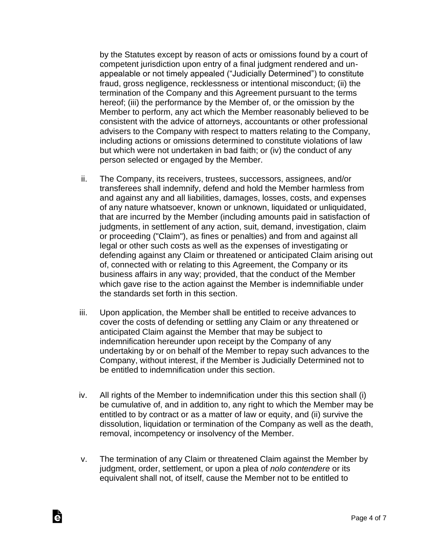by the Statutes except by reason of acts or omissions found by a court of competent jurisdiction upon entry of a final judgment rendered and unappealable or not timely appealed ("Judicially Determined") to constitute fraud, gross negligence, recklessness or intentional misconduct; (ii) the termination of the Company and this Agreement pursuant to the terms hereof; (iii) the performance by the Member of, or the omission by the Member to perform, any act which the Member reasonably believed to be consistent with the advice of attorneys, accountants or other professional advisers to the Company with respect to matters relating to the Company, including actions or omissions determined to constitute violations of law but which were not undertaken in bad faith; or (iv) the conduct of any person selected or engaged by the Member.

- ii. The Company, its receivers, trustees, successors, assignees, and/or transferees shall indemnify, defend and hold the Member harmless from and against any and all liabilities, damages, losses, costs, and expenses of any nature whatsoever, known or unknown, liquidated or unliquidated, that are incurred by the Member (including amounts paid in satisfaction of judgments, in settlement of any action, suit, demand, investigation, claim or proceeding ("Claim"), as fines or penalties) and from and against all legal or other such costs as well as the expenses of investigating or defending against any Claim or threatened or anticipated Claim arising out of, connected with or relating to this Agreement, the Company or its business affairs in any way; provided, that the conduct of the Member which gave rise to the action against the Member is indemnifiable under the standards set forth in this section.
- iii. Upon application, the Member shall be entitled to receive advances to cover the costs of defending or settling any Claim or any threatened or anticipated Claim against the Member that may be subject to indemnification hereunder upon receipt by the Company of any undertaking by or on behalf of the Member to repay such advances to the Company, without interest, if the Member is Judicially Determined not to be entitled to indemnification under this section.
- iv. All rights of the Member to indemnification under this this section shall (i) be cumulative of, and in addition to, any right to which the Member may be entitled to by contract or as a matter of law or equity, and (ii) survive the dissolution, liquidation or termination of the Company as well as the death, removal, incompetency or insolvency of the Member.
- v. The termination of any Claim or threatened Claim against the Member by judgment, order, settlement, or upon a plea of *nolo contendere* or its equivalent shall not, of itself, cause the Member not to be entitled to

Ġ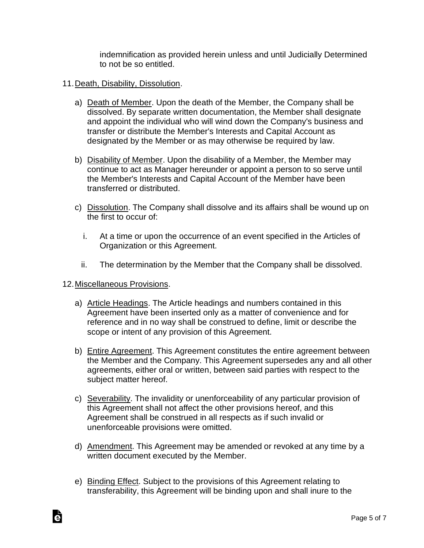indemnification as provided herein unless and until Judicially Determined to not be so entitled.

- 11.Death, Disability, Dissolution.
	- a) Death of Member. Upon the death of the Member, the Company shall be dissolved. By separate written documentation, the Member shall designate and appoint the individual who will wind down the Company's business and transfer or distribute the Member's Interests and Capital Account as designated by the Member or as may otherwise be required by law.
	- b) Disability of Member. Upon the disability of a Member, the Member may continue to act as Manager hereunder or appoint a person to so serve until the Member's Interests and Capital Account of the Member have been transferred or distributed.
	- c) Dissolution. The Company shall dissolve and its affairs shall be wound up on the first to occur of:
		- i. At a time or upon the occurrence of an event specified in the Articles of Organization or this Agreement.
		- ii. The determination by the Member that the Company shall be dissolved.
- 12.Miscellaneous Provisions.
	- a) Article Headings. The Article headings and numbers contained in this Agreement have been inserted only as a matter of convenience and for reference and in no way shall be construed to define, limit or describe the scope or intent of any provision of this Agreement.
	- b) Entire Agreement. This Agreement constitutes the entire agreement between the Member and the Company. This Agreement supersedes any and all other agreements, either oral or written, between said parties with respect to the subject matter hereof.
	- c) Severability. The invalidity or unenforceability of any particular provision of this Agreement shall not affect the other provisions hereof, and this Agreement shall be construed in all respects as if such invalid or unenforceable provisions were omitted.
	- d) Amendment. This Agreement may be amended or revoked at any time by a written document executed by the Member.
	- e) Binding Effect. Subject to the provisions of this Agreement relating to transferability, this Agreement will be binding upon and shall inure to the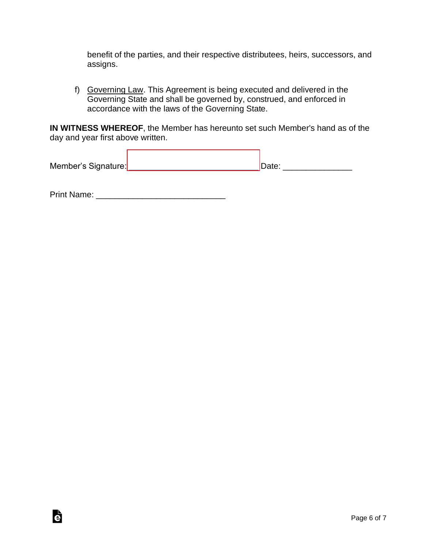benefit of the parties, and their respective distributees, heirs, successors, and assigns.

f) Governing Law. This Agreement is being executed and delivered in the Governing State and shall be governed by, construed, and enforced in accordance with the laws of the Governing State.

**IN WITNESS WHEREOF**, the Member has hereunto set such Member's hand as of the day and year first above written.

| Member's Signature: | Date: |
|---------------------|-------|
|                     |       |

Print Name: \_\_\_\_\_\_\_\_\_\_\_\_\_\_\_\_\_\_\_\_\_\_\_\_\_\_\_\_

G